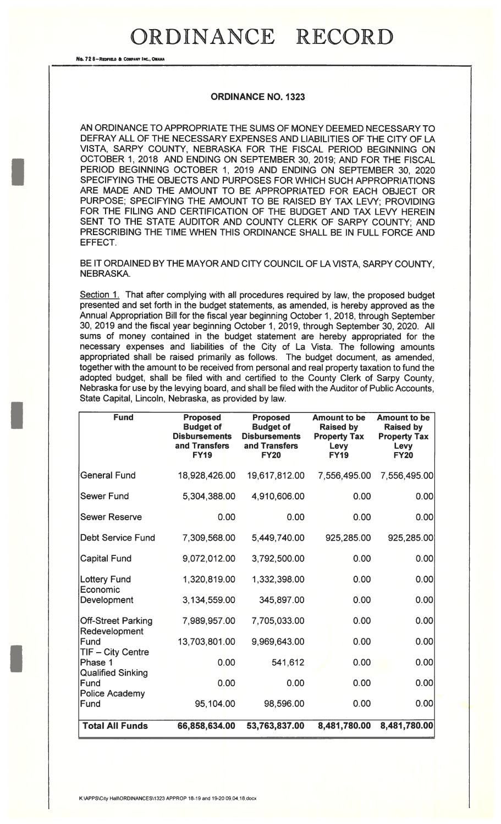## ORDINANCE RECORD

No. 728-REDFIELD & COMPANY INC., OMAN

## ORDINANCE NO. 1323

AN ORDINANCE TO APPROPRIATE THE SUMS OF MONEY DEEMED NECESSARY TO DEFRAY ALL OF THE NECESSARY EXPENSES AND LIABILITIES OF THE CITY OF LA VISTA, SARPY COUNTY, NEBRASKA FOR THE FISCAL PERIOD BEGINNING ON OCTOBER 1, 2018 AND ENDING ON SEPTEMBER 30, 2019; AND FOR THE FISCAL PERIOD BEGINNING OCTOBER 1, 2019 AND ENDING ON SEPTEMBER 30, 2020 SPECIFYING THE OBJECTS AND PURPOSES FOR WHICH SUCH APPROPRIATIONS ARE MADE AND THE AMOUNT TO BE APPROPRIATED FOR EACH OBJECT OR PURPOSE; SPECIFYING THE AMOUNT TO BE RAISED BY TAX LEVY; PROVIDING FOR THE FILING AND CERTIFICATION OF THE BUDGET AND TAX LEVY HEREIN SENT TO THE STATE AUDITOR AND COUNTY CLERK OF SARPY COUNTY; AND PRESCRIBING THE TIME WHEN THIS ORDINANCE SHALL BE IN FULL FORCE AND EFFECT.

BE IT ORDAINED BY THE MAYOR AND CITY COUNCIL OF LA VISTA, SARPY COUNTY, NEBRASKA.

Section 1. That after complying with all procedures required by law, the proposed budget presented and set forth in the budget statements, as amended, is hereby approved as the Annual Appropriation Bill for the fiscal year beginning October 1, 2018, through September 30, 2019 and the fiscal year beginning October 1, 2019, through September 30, 2020. All sums of money contained in the budget statement are hereby appropriated for the necessary expenses and liabilities of the City of La Vista. The following amounts appropriated shall be raised primarily as follows. The budget document, as amended, together with the amount to be received from personal and real property taxation to fund the adopted budget, shall be filed with and certified to the County Clerk of Sarpy County, Nebraska for use by the levying board, and shall be filed with the Auditor of Public Accounts, State Capital, Lincoln, Nebraska, as provided by law.

| <b>Fund</b>                      | <b>Proposed</b><br><b>Budget of</b><br><b>Disbursements</b><br>and Transfers<br><b>FY19</b> | <b>Proposed</b><br><b>Budget of</b><br><b>Disbursements</b><br>and Transfers<br><b>FY20</b> | <b>Amount to be</b><br><b>Raised by</b><br><b>Property Tax</b><br><b>Levy</b><br><b>FY19</b> | <b>Amount to be</b><br><b>Raised by</b><br><b>Property Tax</b><br>Levy<br><b>FY20</b> |
|----------------------------------|---------------------------------------------------------------------------------------------|---------------------------------------------------------------------------------------------|----------------------------------------------------------------------------------------------|---------------------------------------------------------------------------------------|
| <b>General Fund</b>              | 18,928,426.00                                                                               | 19,617,812.00                                                                               | 7,556,495.00                                                                                 | 7,556,495.00                                                                          |
| <b>Sewer Fund</b>                | 5,304,388.00                                                                                | 4,910,606.00                                                                                | 0.00                                                                                         | 0.00                                                                                  |
| <b>Sewer Reserve</b>             | 0.00                                                                                        | 0.00                                                                                        | 0.00                                                                                         | 0.00                                                                                  |
| <b>Debt Service Fund</b>         | 7,309,568.00                                                                                | 5,449,740.00                                                                                | 925,285.00                                                                                   | 925,285.00                                                                            |
| <b>Capital Fund</b>              | 9,072,012.00                                                                                | 3,792,500.00                                                                                | 0.00                                                                                         | 0.00                                                                                  |
| <b>Lottery Fund</b><br>Economic  | 1,320,819.00                                                                                | 1,332,398.00                                                                                | 0.00                                                                                         | 0.00                                                                                  |
| Development                      | 3,134,559.00                                                                                | 345,897.00                                                                                  | 0.00                                                                                         | 0.00                                                                                  |
| <b>Off-Street Parking</b>        | 7,989,957.00                                                                                | 7,705,033.00                                                                                | 0.00                                                                                         | 0.00                                                                                  |
| Redevelopment<br>Fund            | 13,703,801.00                                                                               | 9,969,643.00                                                                                | 0.00                                                                                         | 0.00                                                                                  |
| TIF - City Centre<br>Phase 1     | 0.00                                                                                        | 541,612                                                                                     | 0.00                                                                                         | 0.00                                                                                  |
| <b>Qualified Sinking</b><br>Fund | 0.00                                                                                        | 0.00                                                                                        | 0.00                                                                                         | 0.00                                                                                  |
| <b>Police Academy</b><br>Fund    | 95,104.00                                                                                   | 98,596.00                                                                                   | 0.00                                                                                         | 0.00                                                                                  |
| <b>Total All Funds</b>           | 66,858,634.00                                                                               | 53,763,837.00                                                                               | 8,481,780.00                                                                                 | 8,481,780.00                                                                          |